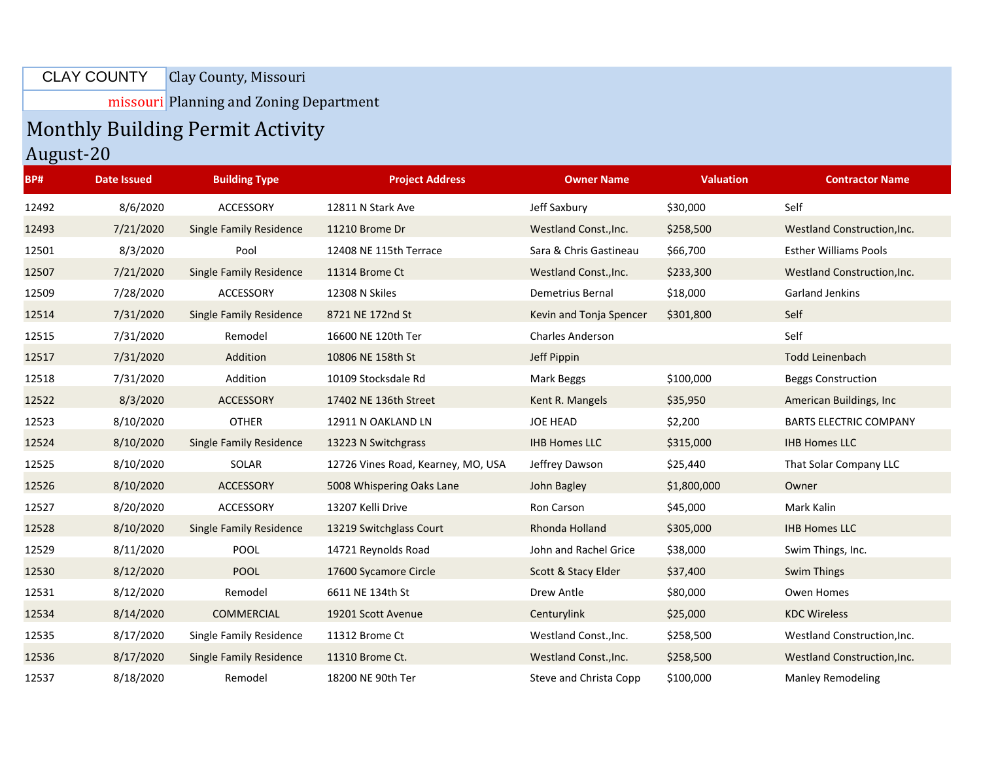## Clay County, Missouri CLAY COUNTY

missouri Planning and Zoning Department

## Monthly Building Permit Activity

## August-20

| <b>BP#</b> | <b>Date Issued</b> | <b>Building Type</b>           | <b>Project Address</b>             | <b>Owner Name</b>       | <b>Valuation</b> | <b>Contractor Name</b>        |
|------------|--------------------|--------------------------------|------------------------------------|-------------------------|------------------|-------------------------------|
| 12492      | 8/6/2020           | ACCESSORY                      | 12811 N Stark Ave                  | Jeff Saxbury            | \$30,000         | Self                          |
| 12493      | 7/21/2020          | <b>Single Family Residence</b> | 11210 Brome Dr                     | Westland Const., Inc.   | \$258,500        | Westland Construction, Inc.   |
| 12501      | 8/3/2020           | Pool                           | 12408 NE 115th Terrace             | Sara & Chris Gastineau  | \$66,700         | <b>Esther Williams Pools</b>  |
| 12507      | 7/21/2020          | <b>Single Family Residence</b> | 11314 Brome Ct                     | Westland Const., Inc.   | \$233,300        | Westland Construction, Inc.   |
| 12509      | 7/28/2020          | ACCESSORY                      | 12308 N Skiles                     | <b>Demetrius Bernal</b> | \$18,000         | Garland Jenkins               |
| 12514      | 7/31/2020          | <b>Single Family Residence</b> | 8721 NE 172nd St                   | Kevin and Tonja Spencer | \$301,800        | Self                          |
| 12515      | 7/31/2020          | Remodel                        | 16600 NE 120th Ter                 | <b>Charles Anderson</b> |                  | Self                          |
| 12517      | 7/31/2020          | Addition                       | 10806 NE 158th St                  | Jeff Pippin             |                  | <b>Todd Leinenbach</b>        |
| 12518      | 7/31/2020          | Addition                       | 10109 Stocksdale Rd                | Mark Beggs              | \$100,000        | <b>Beggs Construction</b>     |
| 12522      | 8/3/2020           | <b>ACCESSORY</b>               | 17402 NE 136th Street              | Kent R. Mangels         | \$35,950         | American Buildings, Inc.      |
| 12523      | 8/10/2020          | <b>OTHER</b>                   | 12911 N OAKLAND LN                 | <b>JOE HEAD</b>         | \$2,200          | <b>BARTS ELECTRIC COMPANY</b> |
| 12524      | 8/10/2020          | <b>Single Family Residence</b> | 13223 N Switchgrass                | <b>IHB Homes LLC</b>    | \$315,000        | <b>IHB Homes LLC</b>          |
| 12525      | 8/10/2020          | SOLAR                          | 12726 Vines Road, Kearney, MO, USA | Jeffrey Dawson          | \$25,440         | That Solar Company LLC        |
| 12526      | 8/10/2020          | <b>ACCESSORY</b>               | 5008 Whispering Oaks Lane          | John Bagley             | \$1,800,000      | Owner                         |
| 12527      | 8/20/2020          | <b>ACCESSORY</b>               | 13207 Kelli Drive                  | Ron Carson              | \$45,000         | Mark Kalin                    |
| 12528      | 8/10/2020          | <b>Single Family Residence</b> | 13219 Switchglass Court            | Rhonda Holland          | \$305,000        | <b>IHB Homes LLC</b>          |
| 12529      | 8/11/2020          | <b>POOL</b>                    | 14721 Reynolds Road                | John and Rachel Grice   | \$38,000         | Swim Things, Inc.             |
| 12530      | 8/12/2020          | <b>POOL</b>                    | 17600 Sycamore Circle              | Scott & Stacy Elder     | \$37,400         | <b>Swim Things</b>            |
| 12531      | 8/12/2020          | Remodel                        | 6611 NE 134th St                   | Drew Antle              | \$80,000         | Owen Homes                    |
| 12534      | 8/14/2020          | <b>COMMERCIAL</b>              | 19201 Scott Avenue                 | Centurylink             | \$25,000         | <b>KDC Wireless</b>           |
| 12535      | 8/17/2020          | Single Family Residence        | 11312 Brome Ct                     | Westland Const., Inc.   | \$258,500        | Westland Construction, Inc.   |
| 12536      | 8/17/2020          | <b>Single Family Residence</b> | 11310 Brome Ct.                    | Westland Const., Inc.   | \$258,500        | Westland Construction, Inc.   |
| 12537      | 8/18/2020          | Remodel                        | 18200 NE 90th Ter                  | Steve and Christa Copp  | \$100,000        | <b>Manley Remodeling</b>      |